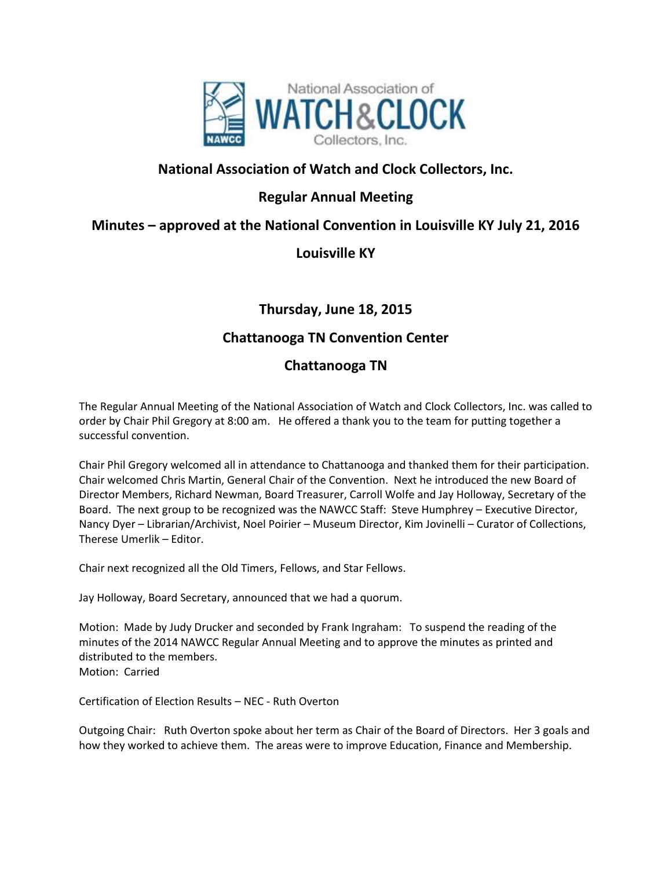

# **National Association of Watch and Clock Collectors, Inc.**

# **Regular Annual Meeting**

## **Minutes – approved at the National Convention in Louisville KY July 21, 2016**

## **Louisville KY**

**Thursday, June 18, 2015**

## **Chattanooga TN Convention Center**

### **Chattanooga TN**

The Regular Annual Meeting of the National Association of Watch and Clock Collectors, Inc. was called to order by Chair Phil Gregory at 8:00 am. He offered a thank you to the team for putting together a successful convention.

Chair Phil Gregory welcomed all in attendance to Chattanooga and thanked them for their participation. Chair welcomed Chris Martin, General Chair of the Convention. Next he introduced the new Board of Director Members, Richard Newman, Board Treasurer, Carroll Wolfe and Jay Holloway, Secretary of the Board. The next group to be recognized was the NAWCC Staff: Steve Humphrey – Executive Director, Nancy Dyer – Librarian/Archivist, Noel Poirier – Museum Director, Kim Jovinelli – Curator of Collections, Therese Umerlik – Editor.

Chair next recognized all the Old Timers, Fellows, and Star Fellows.

Jay Holloway, Board Secretary, announced that we had a quorum.

Motion: Made by Judy Drucker and seconded by Frank Ingraham: To suspend the reading of the minutes of the 2014 NAWCC Regular Annual Meeting and to approve the minutes as printed and distributed to the members. Motion: Carried

Certification of Election Results – NEC - Ruth Overton

Outgoing Chair: Ruth Overton spoke about her term as Chair of the Board of Directors. Her 3 goals and how they worked to achieve them. The areas were to improve Education, Finance and Membership.